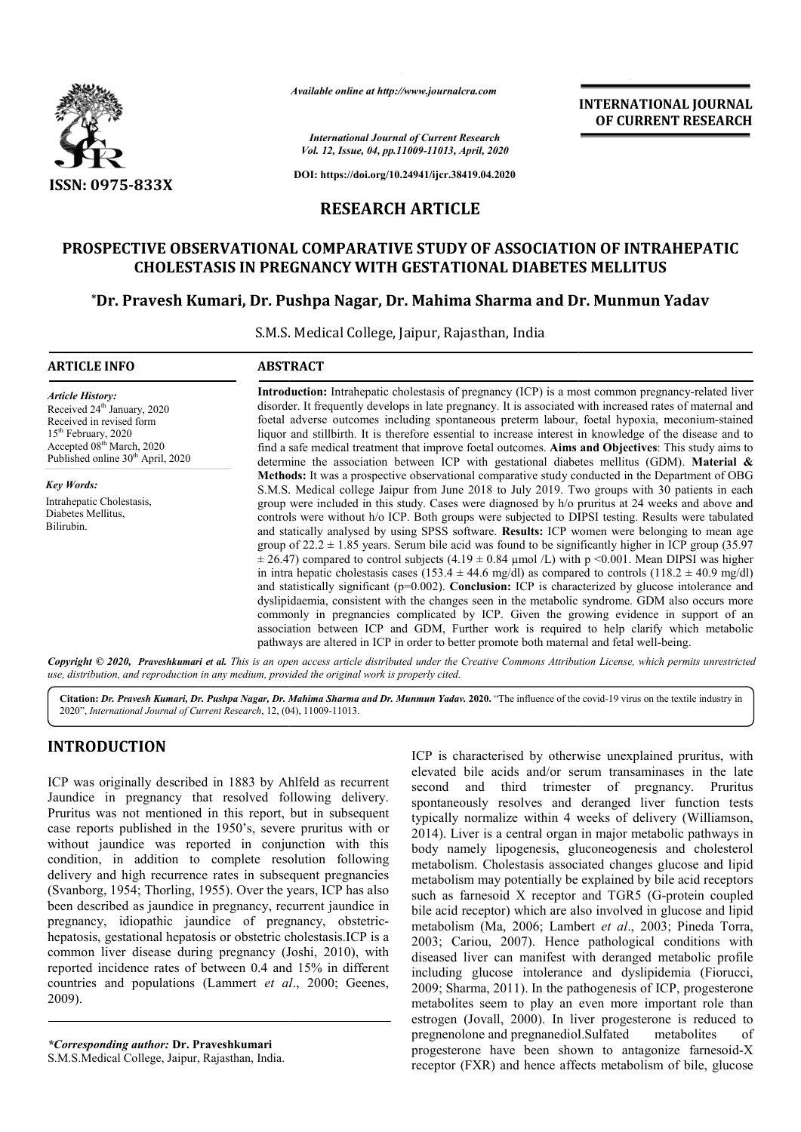

*Available online at http://www.journalcra.com*

*International Journal of Current Research Vol. 12, Issue, 04, pp.11009-11013, April, 2020* **INTERNATIONAL JOURNAL OF CURRENT RESEARCH**

**DOI: https://doi.org/10.24941/ijcr.38419.04.2020**

## **RESEARCH ARTICLE**

## **PROSPECTIVE OBSERVATIONAL COMPARATIVE STUDY OF ASSOCIATION OF INTRAHEPATIC CHOLESTASIS IN PREGNANCY WITH GESTATIONAL DIABETES MELLITUS**

# CHOLESTASIS IN PREGNANCY WITH GESTATIONAL DIABETES MELLITUS<br>Dr. Pravesh Kumari, Dr. Pushpa Nagar, Dr. Mahima Sharma and Dr. Munmun Yadav\*

S.M.S. Medical College, Jaipur, Rajasthan, India

| <b>ARTICLE INFO</b>                                                                                                                                                                                                         | <b>ABSTRACT</b>                                                                                                                                                                                                                                                                                                                                                                                                                                                                                                                                                                                                                                                                                                                                                                                                                                                                                                                                                                                                                                                                                                                                                                                                                                            |  |  |  |  |
|-----------------------------------------------------------------------------------------------------------------------------------------------------------------------------------------------------------------------------|------------------------------------------------------------------------------------------------------------------------------------------------------------------------------------------------------------------------------------------------------------------------------------------------------------------------------------------------------------------------------------------------------------------------------------------------------------------------------------------------------------------------------------------------------------------------------------------------------------------------------------------------------------------------------------------------------------------------------------------------------------------------------------------------------------------------------------------------------------------------------------------------------------------------------------------------------------------------------------------------------------------------------------------------------------------------------------------------------------------------------------------------------------------------------------------------------------------------------------------------------------|--|--|--|--|
| <b>Article History:</b><br>Received 24 <sup>th</sup> January, 2020<br>Received in revised form<br>15 <sup>th</sup> February, 2020<br>Accepted 08 <sup>th</sup> March, 2020<br>Published online 30 <sup>th</sup> April, 2020 | <b>Introduction:</b> Intrahepatic cholestasis of pregnancy (ICP) is a most common pregnancy-related liver<br>disorder. It frequently develops in late pregnancy. It is associated with increased rates of maternal and<br>foetal adverse outcomes including spontaneous preterm labour, foetal hypoxia, meconium-stained<br>liquor and stillbirth. It is therefore essential to increase interest in knowledge of the disease and to<br>find a safe medical treatment that improve foetal outcomes. Aims and Objectives: This study aims to<br>determine the association between ICP with gestational diabetes mellitus (GDM). Material $\&$                                                                                                                                                                                                                                                                                                                                                                                                                                                                                                                                                                                                               |  |  |  |  |
| <b>Key Words:</b><br>Intrahepatic Cholestasis,<br>Diabetes Mellitus,<br>Bilirubin.                                                                                                                                          | Methods: It was a prospective observational comparative study conducted in the Department of OBG<br>S.M.S. Medical college Jaipur from June 2018 to July 2019. Two groups with 30 patients in each<br>group were included in this study. Cases were diagnosed by h/o pruritus at 24 weeks and above and<br>controls were without h/o ICP. Both groups were subjected to DIPSI testing. Results were tabulated<br>and statically analysed by using SPSS software. Results: ICP women were belonging to mean age<br>group of $22.2 \pm 1.85$ years. Serum bile acid was found to be significantly higher in ICP group (35.97)<br>$\pm$ 26.47) compared to control subjects (4.19 $\pm$ 0.84 µmol /L) with p <0.001. Mean DIPSI was higher<br>in intra hepatic cholestasis cases (153.4 $\pm$ 44.6 mg/dl) as compared to controls (118.2 $\pm$ 40.9 mg/dl)<br>and statistically significant (p=0.002). Conclusion: ICP is characterized by glucose intolerance and<br>dyslipidaemia, consistent with the changes seen in the metabolic syndrome. GDM also occurs more<br>commonly in pregnancies complicated by ICP. Given the growing evidence in support of an<br>association between ICP and GDM, Further work is required to help clarify which metabolic |  |  |  |  |

*Copyright © 2020, Praveshkumari et al. This is an open use, distribution, and reproduction in any medium, provided the original work is properly cited. access article distributed under the Creative Commons Attribution ribution License, which permits unrestricted*

Citation: Dr. Pravesh Kumari, Dr. Pushpa Nagar, Dr. Mahima Sharma and Dr. Munmun Yadav. 2020. "The influence of the covid-19 virus on the textile industry in 2020", *International Journal of Current Research*, 12, (04 04), 11009-11013.

## **INTRODUCTION**

ICP was originally described in 1883 by Ahlfeld as recurrent Jaundice in pregnancy that resolved following delivery. Pruritus was not mentioned in this report, but in subsequent case reports published in the 1950's, severe pruritus with or without jaundice was reported in conjunction with this condition, in addition to complete resolution following delivery and high recurrence rates in subsequent pregnancies (Svanborg, 1954; Thorling, 1955). Over the years, ICP has also been described as jaundice in pregnancy, recurrent jaundice in pregnancy, idiopathic jaundice of pregnancy, obstetrichepatosis, gestational hepatosis or obstetric cholestasis.ICP is a hepatosis, gestational hepatosis or obstetric cholestasis.ICP is a<br>common liver disease during pregnancy (Joshi, 2010), with reported incidence rates of between 0.4 and 15% in different countries and populations (Lammert *et al* ., 2000; Geenes, 2009).

*\*Corresponding author:* **Dr. Praveshkumari** S.M.S.Medical College, Jaipur, Rajasthan, India. ICP is characterised by otherwise unexplained pruritus, with elevated bile acids and/or serum transaminases in the late second and third trimester of pregnancy. Pruritus spontaneously resolves and deranged liver function tests typically normalize within 4 weeks of delivery (Williamson, 2014). Liver is a central organ in major metabolic pathways in body namely lipogenesis, gluconeogenesis and cholesterol metabolism. Cholestasis associated changes glucose and lipid metabolism may potentially be explained by bile acid receptors metabolism may potentially be explained by bile acid receptors<br>such as farnesoid X receptor and TGR5 (G-protein coupled bile acid receptor) which are also involved in glucose and lipid metabolism (Ma, 2006; Lambert *et al*., 2003; Pineda Torra, 2003; Cariou, 2007). Hence pathological conditions with 2003; Cariou, 2007). Hence pathological conditions with diseased liver can manifest with deranged metabolic profile including glucose intolerance and dyslipidemia (Fiorucci, 2009; Sharma, 2011). In the pathogenesis of ICP, progesterone metabolites seem to play an even more important role than estrogen (Jovall, 2000). In liver progesterone is reduced to pregnenolone and pregnanediol. progesterone have been shown to antagonize farnesoid-X receptor (FXR) and hence affects metabolism of bile, glucose ICP is characterised by otherwise unexplained pruritus, with elevated bile acids and/or serum transaminases in the late second and third trimester of pregnancy. Pruritus spontaneously resolves and deranged liver function t 2014). Liver is a central organ in major metabolic pathways in body namely lipogenesis, gluconeogenesis and cholesterol metabolism. Cholestasis associated changes glucose and lipid to play an even more important role than<br>2000). In liver progesterone is reduced to<br>pregnanediol.Sulfated metabolites of **INTERNATIONAL JOURNAL OF CURRENT RESEARCH**<br> **OF CURRENT RESEARCH**<br> **OF CURRENT RESEARCH**<br> **CON OF INTRAHEPATIC**<br> **ES MELLITUS**<br>
DT. **Munmun Yadav**<br>
The study of the discussed of the discussed in the study single of the di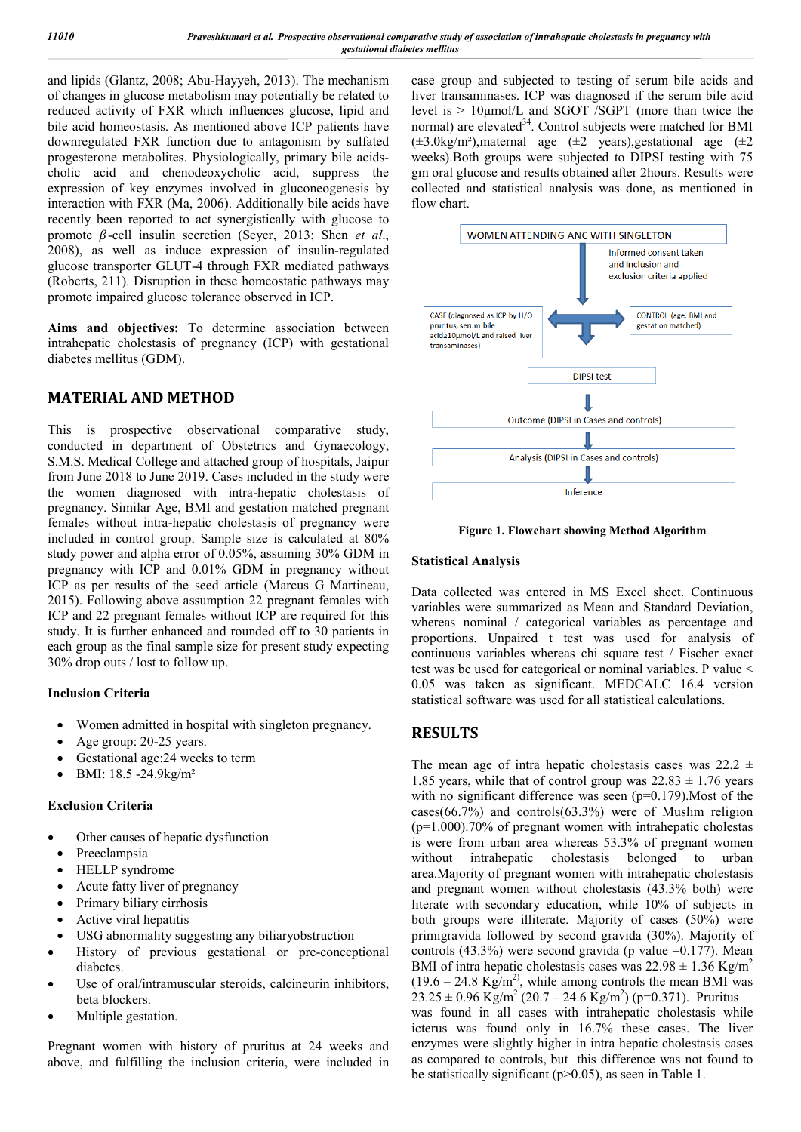and lipids (Glantz, 2008; Abu-Hayyeh, 2013). The mechanism of changes in glucose metabolism may potentially be related to reduced activity of FXR which influences glucose, lipid and bile acid homeostasis. As mentioned above ICP patients have downregulated FXR function due to antagonism by sulfated progesterone metabolites. Physiologically, primary bile acidscholic acid and chenodeoxycholic acid, suppress the expression of key enzymes involved in gluconeogenesis by interaction with FXR (Ma, 2006). Additionally bile acids have recently been reported to act synergistically with glucose to promote  $\beta$ -cell insulin secretion (Seyer, 2013; Shen *et al.*, 2008), as well as induce expression of insulin-regulated glucose transporter GLUT-4 through FXR mediated pathways (Roberts, 211). Disruption in these homeostatic pathways may promote impaired glucose tolerance observed in ICP.

**Aims and objectives:** To determine association between intrahepatic cholestasis of pregnancy (ICP) with gestational diabetes mellitus (GDM).

## **MATERIAL AND METHOD**

This is prospective observational comparative study, conducted in department of Obstetrics and Gynaecology, S.M.S. Medical College and attached group of hospitals, Jaipur from June 2018 to June 2019. Cases included in the study were the women diagnosed with intra-hepatic cholestasis of pregnancy. Similar Age, BMI and gestation matched pregnant females without intra-hepatic cholestasis of pregnancy were included in control group. Sample size is calculated at 80% study power and alpha error of 0.05%, assuming 30% GDM in pregnancy with ICP and 0.01% GDM in pregnancy without ICP as per results of the seed article (Marcus G Martineau, 2015). Following above assumption 22 pregnant females with ICP and 22 pregnant females without ICP are required for this study. It is further enhanced and rounded off to 30 patients in each group as the final sample size for present study expecting 30% drop outs / lost to follow up.

#### **Inclusion Criteria**

- Women admitted in hospital with singleton pregnancy.
- Age group: 20-25 years.
- Gestational age:24 weeks to term
- BMI: 18.5 -24.9kg/m²

#### **Exclusion Criteria**

- Other causes of hepatic dysfunction
- Preeclampsia
- HELLP syndrome
- Acute fatty liver of pregnancy
- Primary biliary cirrhosis
- Active viral hepatitis
- USG abnormality suggesting any biliaryobstruction
- History of previous gestational or pre-conceptional diabetes.
- Use of oral/intramuscular steroids, calcineurin inhibitors, beta blockers.
- Multiple gestation.

Pregnant women with history of pruritus at 24 weeks and above, and fulfilling the inclusion criteria, were included in case group and subjected to testing of serum bile acids and liver transaminases. ICP was diagnosed if the serum bile acid level is > 10μmol/L and SGOT /SGPT (more than twice the normal) are elevated<sup>34</sup>. Control subjects were matched for BMI ( $\pm 3.0 \text{kg/m}^2$ ), maternal age ( $\pm 2$  years), gestational age ( $\pm 2$ weeks).Both groups were subjected to DIPSI testing with 75 gm oral glucose and results obtained after 2hours. Results were collected and statistical analysis was done, as mentioned in flow chart.



**Figure 1. Flowchart showing Method Algorithm**

#### **Statistical Analysis**

Data collected was entered in MS Excel sheet. Continuous variables were summarized as Mean and Standard Deviation, whereas nominal / categorical variables as percentage and proportions. Unpaired t test was used for analysis of continuous variables whereas chi square test / Fischer exact test was be used for categorical or nominal variables. P value < 0.05 was taken as significant. MEDCALC 16.4 version statistical software was used for all statistical calculations.

### **RESULTS**

The mean age of intra hepatic cholestasis cases was  $22.2 \pm$ 1.85 years, while that of control group was  $22.83 \pm 1.76$  years with no significant difference was seen (p=0.179). Most of the cases(66.7%) and controls(63.3%) were of Muslim religion (p=1.000).70% of pregnant women with intrahepatic cholestas is were from urban area whereas 53.3% of pregnant women without intrahepatic cholestasis belonged to urban area.Majority of pregnant women with intrahepatic cholestasis and pregnant women without cholestasis (43.3% both) were literate with secondary education, while 10% of subjects in both groups were illiterate. Majority of cases (50%) were primigravida followed by second gravida (30%). Majority of controls  $(43.3\%)$  were second gravida (p value =0.177). Mean BMI of intra hepatic cholestasis cases was  $22.98 \pm 1.36$  Kg/m<sup>2</sup>  $(19.6 - 24.8 \text{ Kg/m}^2)$ , while among controls the mean BMI was  $23.25 \pm 0.96$  Kg/m<sup>2</sup> (20.7 – 24.6 Kg/m<sup>2</sup>) (p=0.371). Pruritus was found in all cases with intrahepatic cholestasis while icterus was found only in 16.7% these cases. The liver enzymes were slightly higher in intra hepatic cholestasis cases as compared to controls, but this difference was not found to be statistically significant ( $p>0.05$ ), as seen in Table 1.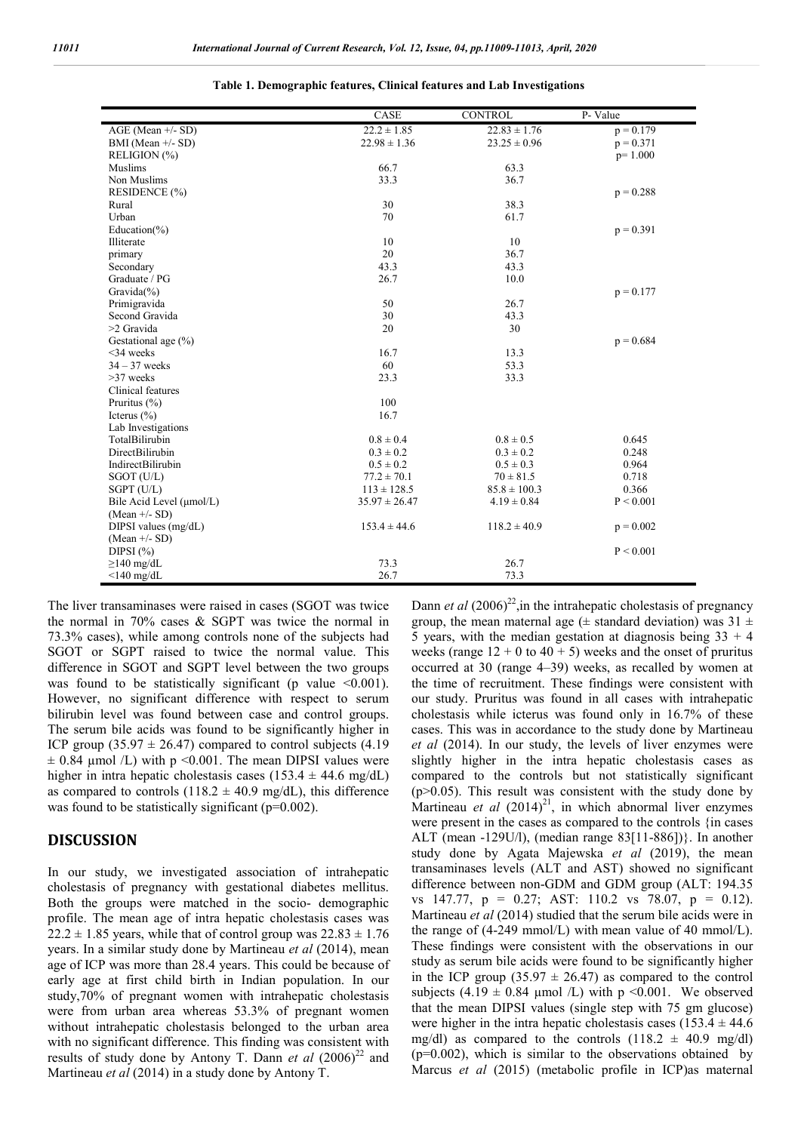|                          | CASE              | <b>CONTROL</b>   | $\overline{P}$ - Value |
|--------------------------|-------------------|------------------|------------------------|
| AGE (Mean +/- SD)        | $22.2 \pm 1.85$   | $22.83 \pm 1.76$ | $p = 0.179$            |
| BMI (Mean +/- SD)        | $22.98 \pm 1.36$  | $23.25 \pm 0.96$ | $p = 0.371$            |
| RELIGION (%)             |                   |                  | $p=1.000$              |
| Muslims                  | 66.7              | 63.3             |                        |
| Non Muslims              | 33.3              | 36.7             |                        |
| RESIDENCE (%)            |                   |                  | $p = 0.288$            |
| Rural                    | 30                | 38.3             |                        |
| Urban                    | 70                | 61.7             |                        |
| Education(%)             |                   |                  | $p = 0.391$            |
| Illiterate               | 10                | 10               |                        |
| primary                  | 20                | 36.7             |                        |
| Secondary                | 43.3              | 43.3             |                        |
| Graduate / PG            | 26.7              | 10.0             |                        |
| Gravida $(\%)$           |                   |                  | $p = 0.177$            |
| Primigravida             | 50                | 26.7             |                        |
| Second Gravida           | 30                | 43.3             |                        |
| >2 Gravida               | 20                | 30               |                        |
| Gestational age $(\% )$  |                   |                  | $p = 0.684$            |
| $<$ 34 weeks             | 16.7              | 13.3             |                        |
| $34 - 37$ weeks          | 60                | 53.3             |                        |
| $>37$ weeks              | 23.3              | 33.3             |                        |
| Clinical features        |                   |                  |                        |
| Pruritus $(\% )$         | 100               |                  |                        |
| Icterus $(\% )$          | 16.7              |                  |                        |
| Lab Investigations       |                   |                  |                        |
| TotalBilirubin           | $0.8 \pm 0.4$     | $0.8 \pm 0.5$    | 0.645                  |
| <b>DirectBilirubin</b>   | $0.3 \pm 0.2$     | $0.3 \pm 0.2$    | 0.248                  |
| IndirectBilirubin        | $0.5 \pm 0.2$     | $0.5 \pm 0.3$    | 0.964                  |
| $SGOT$ (U/L)             | $77.2 \pm 70.1$   | $70 \pm 81.5$    | 0.718                  |
| SGPT (U/L)               | $113 \pm 128.5$   | $85.8 \pm 100.3$ | 0.366                  |
| Bile Acid Level (µmol/L) | $35.97 \pm 26.47$ | $4.19 \pm 0.84$  | P < 0.001              |
| $(Mean +/- SD)$          |                   |                  |                        |
| DIPSI values $(mg/dL)$   | $153.4 \pm 44.6$  | $118.2 \pm 40.9$ | $p = 0.002$            |
| $(Mean +/- SD)$          |                   |                  |                        |
| DIPSI $(\% )$            |                   |                  | P < 0.001              |
| $\geq$ 140 mg/dL         | 73.3              | 26.7             |                        |
| $<$ 140 mg/dL            | 26.7              | 73.3             |                        |

|  |  |  |  | Table 1. Demographic features, Clinical features and Lab Investigations |
|--|--|--|--|-------------------------------------------------------------------------|
|  |  |  |  |                                                                         |

The liver transaminases were raised in cases (SGOT was twice the normal in 70% cases & SGPT was twice the normal in 73.3% cases), while among controls none of the subjects had SGOT or SGPT raised to twice the normal value. This difference in SGOT and SGPT level between the two groups was found to be statistically significant (p value  $\leq 0.001$ ). However, no significant difference with respect to serum bilirubin level was found between case and control groups. The serum bile acids was found to be significantly higher in ICP group  $(35.97 \pm 26.47)$  compared to control subjects  $(4.19)$  $\pm$  0.84 µmol /L) with p <0.001. The mean DIPSI values were higher in intra hepatic cholestasis cases (153.4  $\pm$  44.6 mg/dL) as compared to controls (118.2  $\pm$  40.9 mg/dL), this difference was found to be statistically significant ( $p=0.002$ ).

#### **DISCUSSION**

In our study, we investigated association of intrahepatic cholestasis of pregnancy with gestational diabetes mellitus. Both the groups were matched in the socio- demographic profile. The mean age of intra hepatic cholestasis cases was  $22.2 \pm 1.85$  years, while that of control group was  $22.83 \pm 1.76$ years. In a similar study done by Martineau *et al* (2014), mean age of ICP was more than 28.4 years. This could be because of early age at first child birth in Indian population. In our study,70% of pregnant women with intrahepatic cholestasis were from urban area whereas 53.3% of pregnant women without intrahepatic cholestasis belonged to the urban area with no significant difference. This finding was consistent with results of study done by Antony T. Dann *et al*  $(2006)^{22}$  and Martineau *et al* (2014) in a study done by Antony T.

Dann *et al*  $(2006)^{22}$ , in the intrahepatic cholestasis of pregnancy group, the mean maternal age ( $\pm$  standard deviation) was 31  $\pm$ 5 years, with the median gestation at diagnosis being  $33 + 4$ weeks (range  $12 + 0$  to  $40 + 5$ ) weeks and the onset of pruritus occurred at 30 (range 4–39) weeks, as recalled by women at the time of recruitment. These findings were consistent with our study. Pruritus was found in all cases with intrahepatic cholestasis while icterus was found only in 16.7% of these cases. This was in accordance to the study done by Martineau *et al* (2014). In our study, the levels of liver enzymes were slightly higher in the intra hepatic cholestasis cases as compared to the controls but not statistically significant  $(p>0.05)$ . This result was consistent with the study done by Martineau et al (2014)<sup>21</sup>, in which abnormal liver enzymes were present in the cases as compared to the controls {in cases ALT (mean -129U/l), (median range 83[11-886])}. In another study done by Agata Majewska *et al* (2019), the mean transaminases levels (ALT and AST) showed no significant difference between non-GDM and GDM group (ALT: 194.35 vs 147.77, p = 0.27; AST: 110.2 vs 78.07, p = 0.12). Martineau *et al* (2014) studied that the serum bile acids were in the range of (4-249 mmol/L) with mean value of 40 mmol/L). These findings were consistent with the observations in our study as serum bile acids were found to be significantly higher in the ICP group  $(35.97 \pm 26.47)$  as compared to the control subjects (4.19  $\pm$  0.84 µmol /L) with p <0.001. We observed that the mean DIPSI values (single step with 75 gm glucose) were higher in the intra hepatic cholestasis cases  $(153.4 \pm 44.6$ mg/dl) as compared to the controls  $(118.2 \pm 40.9 \text{ mg/dl})$  $(p=0.002)$ , which is similar to the observations obtained by Marcus *et al* (2015) (metabolic profile in ICP)as maternal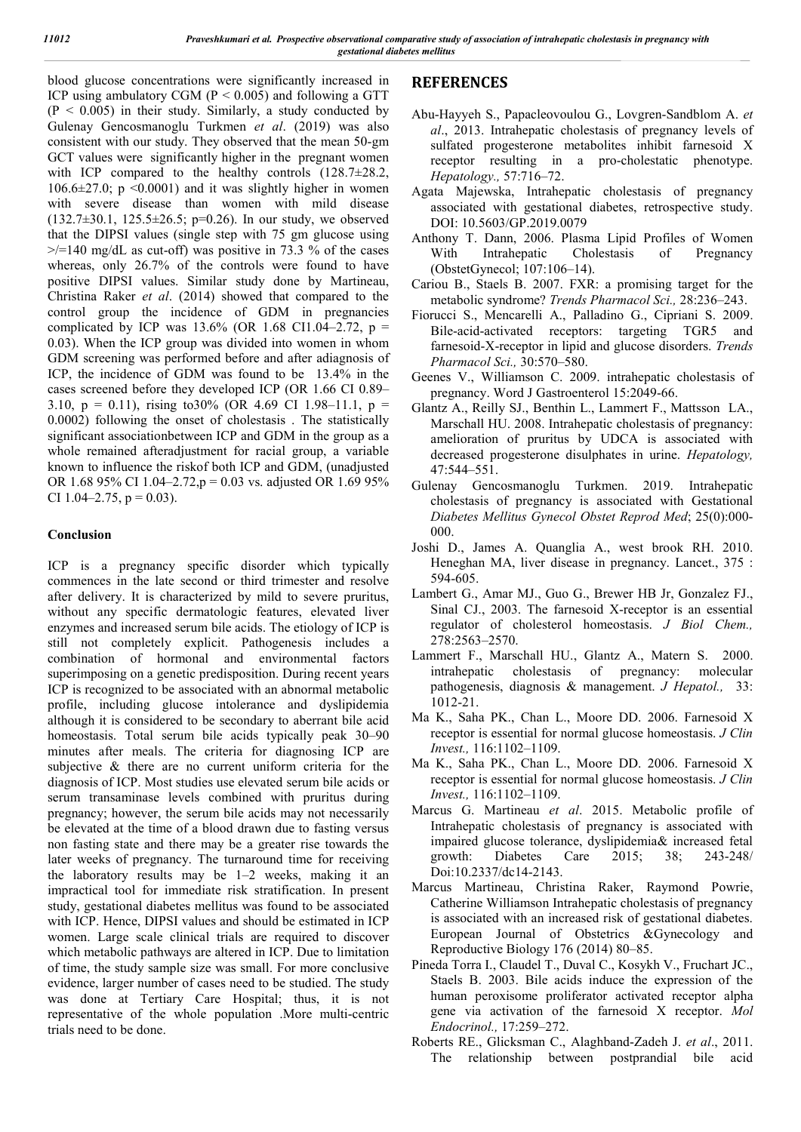blood glucose concentrations were significantly increased in ICP using ambulatory CGM (P < 0.005) and following a GTT  $(P < 0.005)$  in their study. Similarly, a study conducted by Gulenay Gencosmanoglu Turkmen *et al*. (2019) was also consistent with our study. They observed that the mean 50-gm GCT values were significantly higher in the pregnant women with ICP compared to the healthy controls  $(128.7\pm 28.2,$ 106.6 $\pm$ 27.0; p <0.0001) and it was slightly higher in women with severe disease than women with mild disease  $(132.7\pm30.1, 125.5\pm26.5; p=0.26)$ . In our study, we observed that the DIPSI values (single step with 75 gm glucose using  $\ge$ /=140 mg/dL as cut-off) was positive in 73.3 % of the cases whereas, only 26.7% of the controls were found to have positive DIPSI values. Similar study done by Martineau, Christina Raker *et al*. (2014) showed that compared to the control group the incidence of GDM in pregnancies complicated by ICP was  $13.6\%$  (OR 1.68 CI1.04–2.72, p = 0.03). When the ICP group was divided into women in whom GDM screening was performed before and after adiagnosis of ICP, the incidence of GDM was found to be 13.4% in the cases screened before they developed ICP (OR 1.66 CI 0.89– 3.10,  $p = 0.11$ ), rising to 30% (OR 4.69 CI 1.98–11.1,  $p =$ 0.0002) following the onset of cholestasis . The statistically significant associationbetween ICP and GDM in the group as a whole remained afteradjustment for racial group, a variable known to influence the riskof both ICP and GDM, (unadjusted OR 1.68 95% CI 1.04–2.72,p = 0.03 vs. adjusted OR 1.69 95% CI 1.04–2.75,  $p = 0.03$ ).

#### **Conclusion**

ICP is a pregnancy specific disorder which typically commences in the late second or third trimester and resolve after delivery. It is characterized by mild to severe pruritus, without any specific dermatologic features, elevated liver enzymes and increased serum bile acids. The etiology of ICP is still not completely explicit. Pathogenesis includes a combination of hormonal and environmental factors superimposing on a genetic predisposition. During recent years ICP is recognized to be associated with an abnormal metabolic profile, including glucose intolerance and dyslipidemia although it is considered to be secondary to aberrant bile acid homeostasis. Total serum bile acids typically peak 30–90 minutes after meals. The criteria for diagnosing ICP are subjective & there are no current uniform criteria for the diagnosis of ICP. Most studies use elevated serum bile acids or serum transaminase levels combined with pruritus during pregnancy; however, the serum bile acids may not necessarily be elevated at the time of a blood drawn due to fasting versus non fasting state and there may be a greater rise towards the later weeks of pregnancy. The turnaround time for receiving the laboratory results may be 1–2 weeks, making it an impractical tool for immediate risk stratification. In present study, gestational diabetes mellitus was found to be associated with ICP. Hence, DIPSI values and should be estimated in ICP women. Large scale clinical trials are required to discover which metabolic pathways are altered in ICP. Due to limitation of time, the study sample size was small. For more conclusive evidence, larger number of cases need to be studied. The study was done at Tertiary Care Hospital; thus, it is not representative of the whole population .More multi-centric trials need to be done.

## **REFERENCES**

- Abu-Hayyeh S., Papacleovoulou G., Lovgren-Sandblom A. *et al*., 2013. Intrahepatic cholestasis of pregnancy levels of sulfated progesterone metabolites inhibit farnesoid X receptor resulting in a pro-cholestatic phenotype. *Hepatology.,* 57:716–72.
- Agata Majewska, Intrahepatic cholestasis of pregnancy associated with gestational diabetes, retrospective study. DOI: 10.5603/GP.2019.0079
- Anthony T. Dann, 2006. Plasma Lipid Profiles of Women With Intrahepatic Cholestasis of Pregnancy (ObstetGynecol; 107:106–14).
- Cariou B., Staels B. 2007. FXR: a promising target for the metabolic syndrome? *Trends Pharmacol Sci.,* 28:236–243.
- Fiorucci S., Mencarelli A., Palladino G., Cipriani S. 2009. Bile-acid-activated receptors: targeting TGR5 and farnesoid-X-receptor in lipid and glucose disorders. *Trends Pharmacol Sci.,* 30:570–580.
- Geenes V., Williamson C. 2009. intrahepatic cholestasis of pregnancy. Word J Gastroenterol 15:2049-66.
- Glantz A., Reilly SJ., Benthin L., Lammert F., Mattsson LA., Marschall HU. 2008. Intrahepatic cholestasis of pregnancy: amelioration of pruritus by UDCA is associated with decreased progesterone disulphates in urine. *Hepatology,* 47:544–551.
- Gulenay Gencosmanoglu Turkmen. 2019. Intrahepatic cholestasis of pregnancy is associated with Gestational *Diabetes Mellitus Gynecol Obstet Reprod Med*; 25(0):000- 000.
- Joshi D., James A. Quanglia A., west brook RH. 2010. Heneghan MA, liver disease in pregnancy. Lancet., 375 : 594-605.
- Lambert G., Amar MJ., Guo G., Brewer HB Jr, Gonzalez FJ., Sinal CJ., 2003. The farnesoid X-receptor is an essential regulator of cholesterol homeostasis. *J Biol Chem.,* 278:2563–2570.
- Lammert F., Marschall HU., Glantz A., Matern S. 2000. intrahepatic cholestasis of pregnancy: molecular pathogenesis, diagnosis & management. *J Hepatol.,* 33: 1012-21.
- Ma K., Saha PK., Chan L., Moore DD. 2006. Farnesoid X receptor is essential for normal glucose homeostasis. *J Clin Invest.,* 116:1102–1109.
- Ma K., Saha PK., Chan L., Moore DD. 2006. Farnesoid X receptor is essential for normal glucose homeostasis. *J Clin Invest.,* 116:1102–1109.
- Marcus G. Martineau *et al*. 2015. Metabolic profile of Intrahepatic cholestasis of pregnancy is associated with impaired glucose tolerance, dyslipidemia& increased fetal growth: Diabetes Care 2015; 38; 243-248/ Doi:10.2337/dc14-2143.
- Marcus Martineau, Christina Raker, Raymond Powrie, Catherine Williamson Intrahepatic cholestasis of pregnancy is associated with an increased risk of gestational diabetes. European Journal of Obstetrics &Gynecology and Reproductive Biology 176 (2014) 80–85.
- Pineda Torra I., Claudel T., Duval C., Kosykh V., Fruchart JC., Staels B. 2003. Bile acids induce the expression of the human peroxisome proliferator activated receptor alpha gene via activation of the farnesoid X receptor. *Mol Endocrinol.,* 17:259–272.
- Roberts RE., Glicksman C., Alaghband-Zadeh J. *et al*., 2011. The relationship between postprandial bile acid